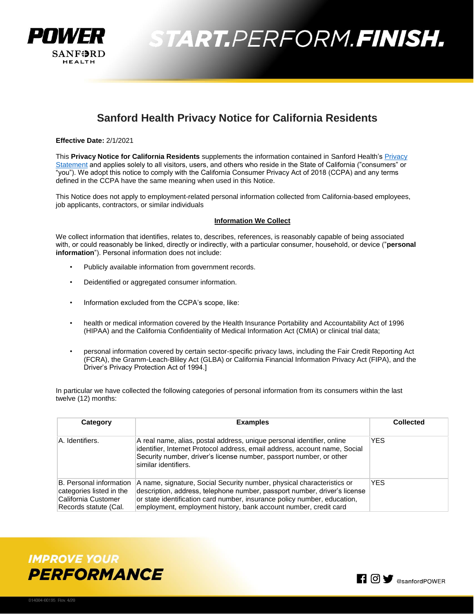

### **Sanford Health Privacy Notice for California Residents**

**Effective Date:** 2/1/2021

This **Privacy Notice for California Residents** supplements the information contained in Sanford Health'[s Privacy](https://www.sanfordhealth.org/privacy-statement)  [Statement](https://www.sanfordhealth.org/privacy-statement) and applies solely to all visitors, users, and others who reside in the State of California ("consumers" or "you"). We adopt this notice to comply with the California Consumer Privacy Act of 2018 (CCPA) and any terms defined in the CCPA have the same meaning when used in this Notice.

This Notice does not apply to employment-related personal information collected from California-based employees, job applicants, contractors, or similar individuals

### **Information We Collect**

We collect information that identifies, relates to, describes, references, is reasonably capable of being associated with, or could reasonably be linked, directly or indirectly, with a particular consumer, household, or device ("**personal information**"). Personal information does not include:

- Publicly available information from government records.
- Deidentified or aggregated consumer information.
- Information excluded from the CCPA's scope, like:
- health or medical information covered by the Health Insurance Portability and Accountability Act of 1996 (HIPAA) and the California Confidentiality of Medical Information Act (CMIA) or clinical trial data;
- personal information covered by certain sector-specific privacy laws, including the Fair Credit Reporting Act (FCRA), the Gramm-Leach-Bliley Act (GLBA) or California Financial Information Privacy Act (FIPA), and the Driver's Privacy Protection Act of 1994.]

In particular we have collected the following categories of personal information from its consumers within the last twelve (12) months:

| Category                                                                                            | <b>Examples</b>                                                                                                                                                                                                                                                                                     | <b>Collected</b> |
|-----------------------------------------------------------------------------------------------------|-----------------------------------------------------------------------------------------------------------------------------------------------------------------------------------------------------------------------------------------------------------------------------------------------------|------------------|
| A. Identifiers.                                                                                     | A real name, alias, postal address, unique personal identifier, online<br>identifier, Internet Protocol address, email address, account name, Social<br>Security number, driver's license number, passport number, or other<br>similar identifiers.                                                 | <b>YES</b>       |
| B. Personal information<br>categories listed in the<br>California Customer<br>Records statute (Cal. | A name, signature, Social Security number, physical characteristics or<br>description, address, telephone number, passport number, driver's license<br>or state identification card number, insurance policy number, education,<br>employment, employment history, bank account number, credit card | <b>YES</b>       |

**IMPROVE YOUR PERFORMANCE**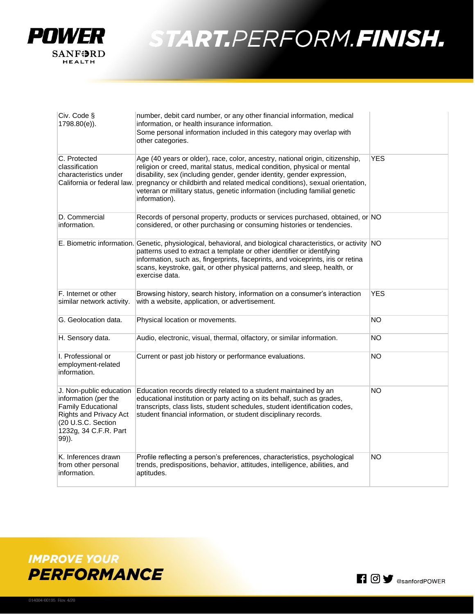

| Civ. Code §<br>1798.80(e)).                                                                                                                                           | number, debit card number, or any other financial information, medical<br>information, or health insurance information.<br>Some personal information included in this category may overlap with<br>other categories.                                                                                                                                                                                                                           |            |
|-----------------------------------------------------------------------------------------------------------------------------------------------------------------------|------------------------------------------------------------------------------------------------------------------------------------------------------------------------------------------------------------------------------------------------------------------------------------------------------------------------------------------------------------------------------------------------------------------------------------------------|------------|
| C. Protected<br>classification<br>characteristics under                                                                                                               | Age (40 years or older), race, color, ancestry, national origin, citizenship,<br>religion or creed, marital status, medical condition, physical or mental<br>disability, sex (including gender, gender identity, gender expression,<br>California or federal law. pregnancy or childbirth and related medical conditions), sexual orientation,<br>veteran or military status, genetic information (including familial genetic<br>information). | <b>YES</b> |
| D. Commercial<br>information.                                                                                                                                         | Records of personal property, products or services purchased, obtained, or NO<br>considered, or other purchasing or consuming histories or tendencies.                                                                                                                                                                                                                                                                                         |            |
|                                                                                                                                                                       | E. Biometric information. Genetic, physiological, behavioral, and biological characteristics, or activity NO<br>patterns used to extract a template or other identifier or identifying<br>information, such as, fingerprints, faceprints, and voiceprints, iris or retina<br>scans, keystroke, gait, or other physical patterns, and sleep, health, or<br>exercise data.                                                                       |            |
| F. Internet or other<br>similar network activity.                                                                                                                     | Browsing history, search history, information on a consumer's interaction<br>with a website, application, or advertisement.                                                                                                                                                                                                                                                                                                                    | <b>YES</b> |
| G. Geolocation data.                                                                                                                                                  | Physical location or movements.                                                                                                                                                                                                                                                                                                                                                                                                                | <b>NO</b>  |
| H. Sensory data.                                                                                                                                                      | Audio, electronic, visual, thermal, olfactory, or similar information.                                                                                                                                                                                                                                                                                                                                                                         | <b>NO</b>  |
| I. Professional or<br>employment-related<br>information.                                                                                                              | Current or past job history or performance evaluations.                                                                                                                                                                                                                                                                                                                                                                                        | <b>NO</b>  |
| J. Non-public education<br>information (per the<br><b>Family Educational</b><br><b>Rights and Privacy Act</b><br>(20 U.S.C. Section<br>1232g, 34 C.F.R. Part<br>99)). | Education records directly related to a student maintained by an<br>educational institution or party acting on its behalf, such as grades,<br>transcripts, class lists, student schedules, student identification codes,<br>student financial information, or student disciplinary records.                                                                                                                                                    | <b>NO</b>  |
| K. Inferences drawn<br>from other personal<br>information.                                                                                                            | Profile reflecting a person's preferences, characteristics, psychological<br>trends, predispositions, behavior, attitudes, intelligence, abilities, and<br>aptitudes.                                                                                                                                                                                                                                                                          | NO.        |

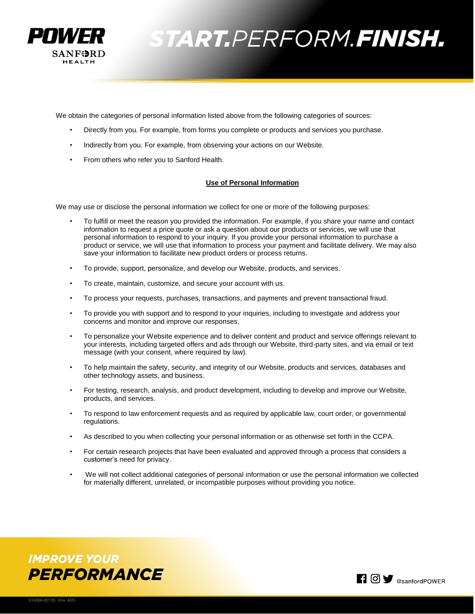

We obtain the categories of personal information listed above from the following categories of sources:

- Directly from you. For example, from forms you complete or products and services you purchase.
- Indirectly from you. For example, from observing your actions on our Website.
- From others who refer you to Sanford Health.

### **Use of Personal Information**

We may use or disclose the personal information we collect for one or more of the following purposes:

- To fulfill or meet the reason you provided the information. For example, if you share your name and contact information to request a price quote or ask a question about our products or services, we will use that personal information to respond to your inquiry. If you provide your personal information to purchase a product or service, we will use that information to process your payment and facilitate delivery. We may also save your information to facilitate new product orders or process returns.
- To provide, support, personalize, and develop our Website, products, and services.
- To create, maintain, customize, and secure your account with us.
- To process your requests, purchases, transactions, and payments and prevent transactional fraud.
- To provide you with support and to respond to your inquiries, including to investigate and address your concerns and monitor and improve our responses.
- To personalize your Website experience and to deliver content and product and service offerings relevant to your interests, including targeted offers and ads through our Website, third-party sites, and via email or text message (with your consent, where required by law).
- To help maintain the safety, security, and integrity of our Website, products and services, databases and other technology assets, and business.
- For testing, research, analysis, and product development, including to develop and improve our Website, products, and services.
- To respond to law enforcement requests and as required by applicable law, court order, or governmental regulations.
- As described to you when collecting your personal information or as otherwise set forth in the CCPA.
- For certain research projects that have been evaluated and approved through a process that considers a customer's need for privacy.
- We will not collect additional categories of personal information or use the personal information we collected for materially different, unrelated, or incompatible purposes without providing you notice.



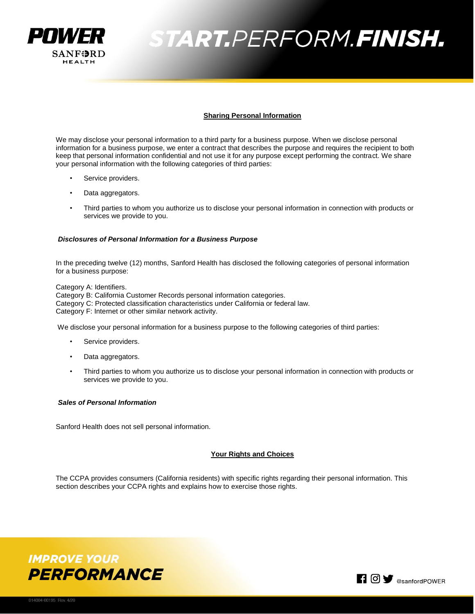

### **Sharing Personal Information**

We may disclose your personal information to a third party for a business purpose. When we disclose personal information for a business purpose, we enter a contract that describes the purpose and requires the recipient to both keep that personal information confidential and not use it for any purpose except performing the contract. We share your personal information with the following categories of third parties:

- Service providers.
- Data aggregators.
- Third parties to whom you authorize us to disclose your personal information in connection with products or services we provide to you.

### *Disclosures of Personal Information for a Business Purpose*

In the preceding twelve (12) months, Sanford Health has disclosed the following categories of personal information for a business purpose:

Category A: Identifiers.

Category B: California Customer Records personal information categories. Category C: Protected classification characteristics under California or federal law. Category F: Internet or other similar network activity.

We disclose your personal information for a business purpose to the following categories of third parties:

- Service providers.
- Data aggregators.
- Third parties to whom you authorize us to disclose your personal information in connection with products or services we provide to you.

#### *Sales of Personal Information*

Sanford Health does not sell personal information.

### **Your Rights and Choices**

The CCPA provides consumers (California residents) with specific rights regarding their personal information. This section describes your CCPA rights and explains how to exercise those rights.



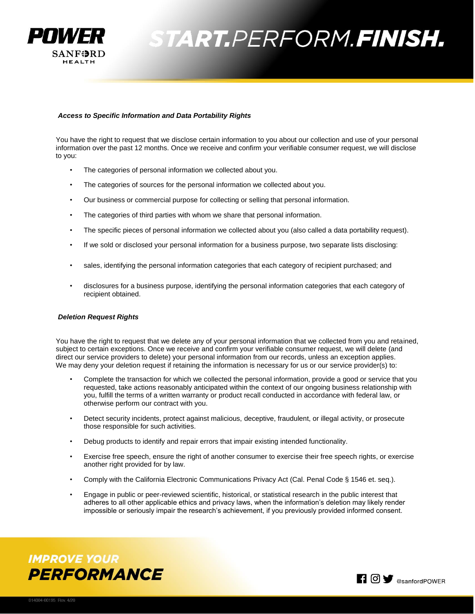

### *Access to Specific Information and Data Portability Rights*

You have the right to request that we disclose certain information to you about our collection and use of your personal information over the past 12 months. Once we receive and confirm your verifiable consumer request, we will disclose to you:

- The categories of personal information we collected about you.
- The categories of sources for the personal information we collected about you.
- Our business or commercial purpose for collecting or selling that personal information.
- The categories of third parties with whom we share that personal information.
- The specific pieces of personal information we collected about you (also called a data portability request).
- If we sold or disclosed your personal information for a business purpose, two separate lists disclosing:
- sales, identifying the personal information categories that each category of recipient purchased; and
- disclosures for a business purpose, identifying the personal information categories that each category of recipient obtained.

#### *Deletion Request Rights*

You have the right to request that we delete any of your personal information that we collected from you and retained, subject to certain exceptions. Once we receive and confirm your verifiable consumer request, we will delete (and direct our service providers to delete) your personal information from our records, unless an exception applies. We may deny your deletion request if retaining the information is necessary for us or our service provider(s) to:

- Complete the transaction for which we collected the personal information, provide a good or service that you requested, take actions reasonably anticipated within the context of our ongoing business relationship with you, fulfill the terms of a written warranty or product recall conducted in accordance with federal law, or otherwise perform our contract with you.
- Detect security incidents, protect against malicious, deceptive, fraudulent, or illegal activity, or prosecute those responsible for such activities.
- Debug products to identify and repair errors that impair existing intended functionality.
- Exercise free speech, ensure the right of another consumer to exercise their free speech rights, or exercise another right provided for by law.
- Comply with the California Electronic Communications Privacy Act (Cal. Penal Code § 1546 et. seq.).
- Engage in public or peer-reviewed scientific, historical, or statistical research in the public interest that adheres to all other applicable ethics and privacy laws, when the information's deletion may likely render impossible or seriously impair the research's achievement, if you previously provided informed consent.



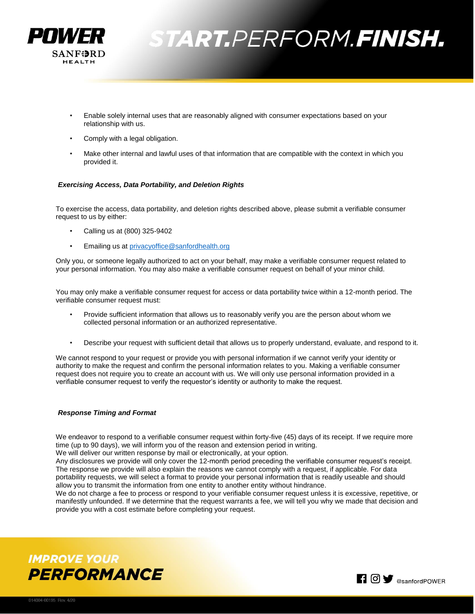

- Enable solely internal uses that are reasonably aligned with consumer expectations based on your relationship with us.
- Comply with a legal obligation.
- Make other internal and lawful uses of that information that are compatible with the context in which you provided it.

### *Exercising Access, Data Portability, and Deletion Rights*

To exercise the access, data portability, and deletion rights described above, please submit a verifiable consumer request to us by either:

- Calling us at (800) 325-9402
- Emailing us at [privacyoffice@sanfordhealth.org](mailto:privacyoffice@sanfordhealth.org)

Only you, or someone legally authorized to act on your behalf, may make a verifiable consumer request related to your personal information. You may also make a verifiable consumer request on behalf of your minor child.

You may only make a verifiable consumer request for access or data portability twice within a 12-month period. The verifiable consumer request must:

- Provide sufficient information that allows us to reasonably verify you are the person about whom we collected personal information or an authorized representative.
- Describe your request with sufficient detail that allows us to properly understand, evaluate, and respond to it.

We cannot respond to your request or provide you with personal information if we cannot verify your identity or authority to make the request and confirm the personal information relates to you. Making a verifiable consumer request does not require you to create an account with us. We will only use personal information provided in a verifiable consumer request to verify the requestor's identity or authority to make the request.

#### *Response Timing and Format*

We endeavor to respond to a verifiable consumer request within forty-five (45) days of its receipt. If we require more time (up to 90 days), we will inform you of the reason and extension period in writing.

We will deliver our written response by mail or electronically, at your option.

Any disclosures we provide will only cover the 12-month period preceding the verifiable consumer request's receipt. The response we provide will also explain the reasons we cannot comply with a request, if applicable. For data portability requests, we will select a format to provide your personal information that is readily useable and should allow you to transmit the information from one entity to another entity without hindrance.

We do not charge a fee to process or respond to your verifiable consumer request unless it is excessive, repetitive, or manifestly unfounded. If we determine that the request warrants a fee, we will tell you why we made that decision and provide you with a cost estimate before completing your request.